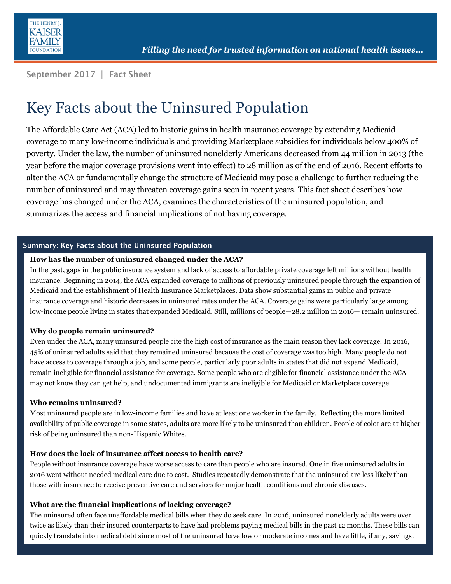

September 2017 | Fact Sheet

# Key Facts about the Uninsured Population

The Affordable Care Act (ACA) led to historic gains in health insurance coverage by extending Medicaid coverage to many low-income individuals and providing Marketplace subsidies for individuals below 400% of poverty. Under the law, the number of uninsured nonelderly Americans decreased from 44 million in 2013 (the year before the major coverage provisions went into effect) to 28 million as of the end of 2016. Recent efforts to alter the ACA or fundamentally change the structure of Medicaid may pose a challenge to further reducing the number of uninsured and may threaten coverage gains seen in recent years. This fact sheet describes how coverage has changed under the ACA, examines the characteristics of the uninsured population, and summarizes the access and financial implications of not having coverage.

#### Summary: Key Facts about the Uninsured Population

#### **How has the number of uninsured changed under the ACA?**

In the past, gaps in the public insurance system and lack of access to affordable private coverage left millions without health insurance. Beginning in 2014, the ACA expanded coverage to millions of previously uninsured people through the expansion of Medicaid and the establishment of Health Insurance Marketplaces. Data show substantial gains in public and private insurance coverage and historic decreases in uninsured rates under the ACA. Coverage gains were particularly large among low-income people living in states that expanded Medicaid. Still, millions of people—28.2 million in 2016— remain uninsured.

#### **Why do people remain uninsured?**

Even under the ACA, many uninsured people cite the high cost of insurance as the main reason they lack coverage. In 2016, 45% of uninsured adults said that they remained uninsured because the cost of coverage was too high. Many people do not have access to coverage through a job, and some people, particularly poor adults in states that did not expand Medicaid, remain ineligible for financial assistance for coverage. Some people who are eligible for financial assistance under the ACA may not know they can get help, and undocumented immigrants are ineligible for Medicaid or Marketplace coverage.

#### **Who remains uninsured?**

Most uninsured people are in low-income families and have at least one worker in the family. Reflecting the more limited availability of public coverage in some states, adults are more likely to be uninsured than children. People of color are at higher risk of being uninsured than non-Hispanic Whites.

#### **How does the lack of insurance affect access to health care?**

People without insurance coverage have worse access to care than people who are insured. One in five uninsured adults in 2016 went without needed medical care due to cost. Studies repeatedly demonstrate that the uninsured are less likely than those with insurance to receive preventive care and services for major health conditions and chronic diseases.

#### **What are the financial implications of lacking coverage?**

The uninsured often face unaffordable medical bills when they do seek care. In 2016, uninsured nonelderly adults were over twice as likely than their insured counterparts to have had problems paying medical bills in the past 12 months. These bills can quickly translate into medical debt since most of the uninsured have low or moderate incomes and have little, if any, savings.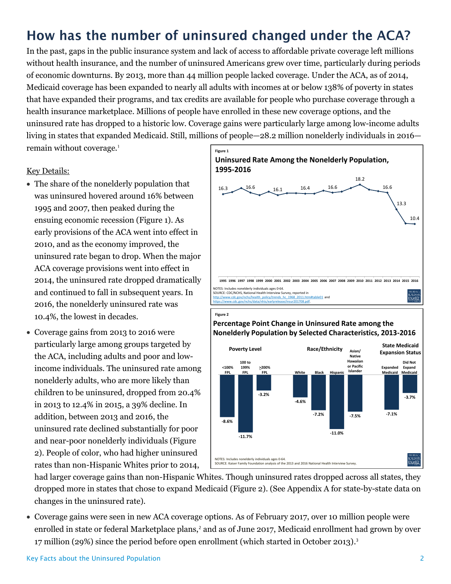# How has the number of uninsured changed under the ACA?

In the past, gaps in the public insurance system and lack of access to affordable private coverage left millions without health insurance, and the number of uninsured Americans grew over time, particularly during periods of economic downturns. By 2013, more than 44 million people lacked coverage. Under the ACA, as of 2014, Medicaid coverage has been expanded to nearly all adults with incomes at or below 138% of poverty in states that have expanded their programs, and tax credits are available for people who purchase coverage through a health insurance marketplace. Millions of people have enrolled in these new coverage options, and the uninsured rate has dropped to a historic low. Coverage gains were particularly large among low-income adults living in states that expanded Medicaid. Still, millions of people—28.2 million nonelderly individuals in 2016 remain without coverage. 1

#### Key Details:

- The share of the nonelderly population that was uninsured hovered around 16% between 1995 and 2007, then peaked during the ensuing economic recession (Figure 1). As early provisions of the ACA went into effect in 2010, and as the economy improved, the uninsured rate began to drop. When the major ACA coverage provisions went into effect in 2014, the uninsured rate dropped dramatically and continued to fall in subsequent years. In 2016, the nonelderly uninsured rate was 10.4%, the lowest in decades.
- Coverage gains from 2013 to 2016 were particularly large among groups targeted by the ACA, including adults and poor and lowincome individuals. The uninsured rate among nonelderly adults, who are more likely than children to be uninsured, dropped from 20.4% in 2013 to 12.4% in 2015, a 39% decline. In addition, between 2013 and 2016, the uninsured rate declined substantially for poor and near-poor nonelderly individuals (Figure 2). People of color, who had higher uninsured rates than non-Hispanic Whites prior to 2014,



#### **Percentage Point Change in Uninsured Rate among the Nonelderly Population by Selected Characteristics, 2013-2016**



had larger coverage gains than non-Hispanic Whites. Though uninsured rates dropped across all states, they dropped more in states that chose to expand Medicaid (Figure 2). (See Appendix A for state-by-state data on changes in the uninsured rate).

 Coverage gains were seen in new ACA coverage options. As of February 2017, over 10 million people were enrolled in state or federal Marketplace plans,<sup>2</sup> and as of June 2017, Medicaid enrollment had grown by over 17 million (29%) since the period before open enrollment (which started in October 2013). 3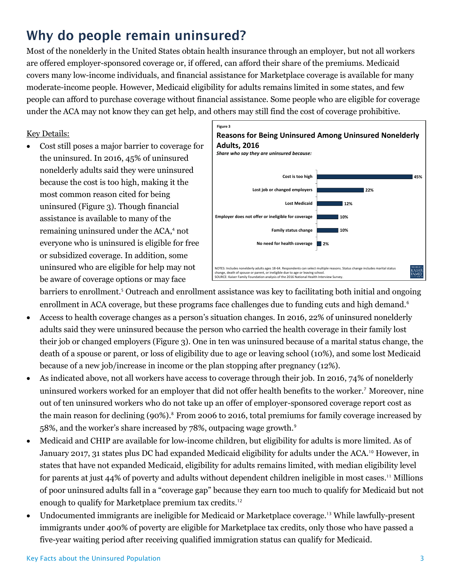## Why do people remain uninsured?

Most of the nonelderly in the United States obtain health insurance through an employer, but not all workers are offered employer-sponsored coverage or, if offered, can afford their share of the premiums. Medicaid covers many low-income individuals, and financial assistance for Marketplace coverage is available for many moderate-income people. However, Medicaid eligibility for adults remains limited in some states, and few people can afford to purchase coverage without financial assistance. Some people who are eligible for coverage under the ACA may not know they can get help, and others may still find the cost of coverage prohibitive.

### Key Details:

 Cost still poses a major barrier to coverage for the uninsured. In 2016, 45% of uninsured nonelderly adults said they were uninsured because the cost is too high, making it the most common reason cited for being uninsured (Figure 3). Though financial assistance is available to many of the remaining uninsured under the ACA, <sup>4</sup> not everyone who is uninsured is eligible for free or subsidized coverage. In addition, some uninsured who are eligible for help may not be aware of coverage options or may face



barriers to enrollment.<sup>5</sup> Outreach and enrollment assistance was key to facilitating both initial and ongoing enrollment in ACA coverage, but these programs face challenges due to funding cuts and high demand.<sup>6</sup>

- Access to health coverage changes as a person's situation changes. In 2016, 22% of uninsured nonelderly adults said they were uninsured because the person who carried the health coverage in their family lost their job or changed employers (Figure 3). One in ten was uninsured because of a marital status change, the death of a spouse or parent, or loss of eligibility due to age or leaving school (10%), and some lost Medicaid because of a new job/increase in income or the plan stopping after pregnancy (12%).
- As indicated above, not all workers have access to coverage through their job. In 2016, 74% of nonelderly uninsured workers worked for an employer that did not offer health benefits to the worker.<sup>7</sup> Moreover, nine out of ten uninsured workers who do not take up an offer of employer-sponsored coverage report cost as the main reason for declining (90%). <sup>8</sup> From 2006 to 2016, total premiums for family coverage increased by 58%, and the worker's share increased by 78%, outpacing wage growth.<sup>9</sup>
- Medicaid and CHIP are available for low-income children, but eligibility for adults is more limited. As of January 2017, 31 states plus DC had expanded Medicaid eligibility for adults under the ACA. <sup>10</sup> However, in states that have not expanded Medicaid, eligibility for adults remains limited, with median eligibility level for parents at just 44% of poverty and adults without dependent children ineligible in most cases. <sup>11</sup> Millions of poor uninsured adults fall in a "coverage gap" because they earn too much to qualify for Medicaid but not enough to qualify for Marketplace premium tax credits.<sup>12</sup>
- Undocumented immigrants are ineligible for Medicaid or Marketplace coverage.<sup>13</sup> While lawfully-present immigrants under 400% of poverty are eligible for Marketplace tax credits, only those who have passed a five-year waiting period after receiving qualified immigration status can qualify for Medicaid.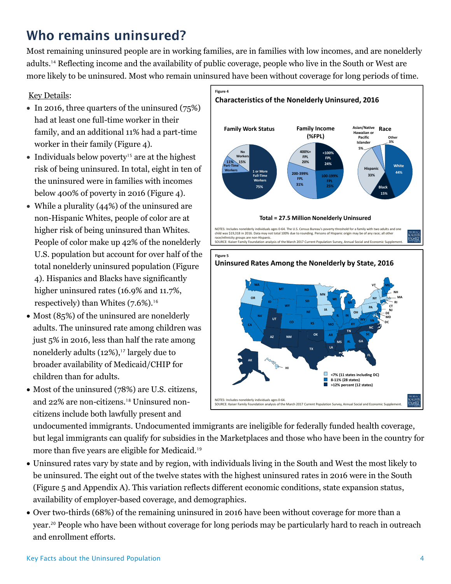## Who remains uninsured?

Most remaining uninsured people are in working families, are in families with low incomes, and are nonelderly adults. <sup>14</sup> Reflecting income and the availability of public coverage, people who live in the South or West are more likely to be uninsured. Most who remain uninsured have been without coverage for long periods of time.

## Key Details:

- $\bullet$  In 2016, three quarters of the uninsured (75%) had at least one full-time worker in their family, and an additional 11% had a part-time worker in their family (Figure 4).
- Individuals below poverty<sup>15</sup> are at the highest risk of being uninsured. In total, eight in ten of the uninsured were in families with incomes below 400% of poverty in 2016 (Figure 4).
- While a plurality (44%) of the uninsured are non-Hispanic Whites, people of color are at higher risk of being uninsured than Whites. People of color make up 42% of the nonelderly U.S. population but account for over half of the total nonelderly uninsured population (Figure 4). Hispanics and Blacks have significantly higher uninsured rates (16.9% and 11.7%, respectively) than Whites  $(7.6\%)$ .<sup>16</sup>
- Most (85%) of the uninsured are nonelderly adults. The uninsured rate among children was just 5% in 2016, less than half the rate among nonelderly adults  $(12\%)$ ,<sup>17</sup> largely due to broader availability of Medicaid/CHIP for children than for adults.
- Most of the uninsured (78%) are U.S. citizens, and 22% are non-citizens.<sup>18</sup> Uninsured noncitizens include both lawfully present and



undocumented immigrants. Undocumented immigrants are ineligible for federally funded health coverage, but legal immigrants can qualify for subsidies in the Marketplaces and those who have been in the country for more than five years are eligible for Medicaid.<sup>19</sup>

- Uninsured rates vary by state and by region, with individuals living in the South and West the most likely to be uninsured. The eight out of the twelve states with the highest uninsured rates in 2016 were in the South (Figure 5 and Appendix A). This variation reflects different economic conditions, state expansion status, availability of employer-based coverage, and demographics.
- Over two-thirds (68%) of the remaining uninsured in 2016 have been without coverage for more than a year.<sup>20</sup> People who have been without coverage for long periods may be particularly hard to reach in outreach and enrollment efforts.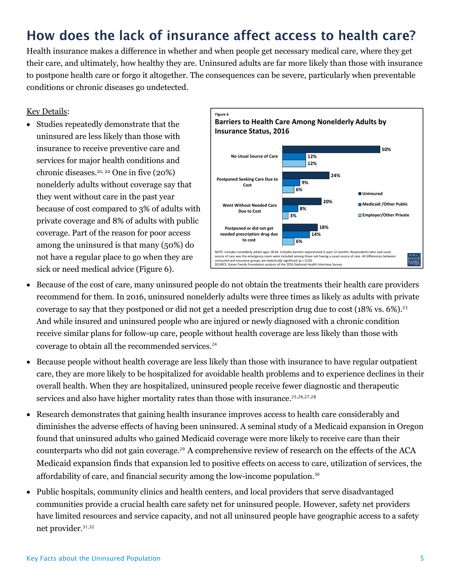## How does the lack of insurance affect access to health care?

Health insurance makes a difference in whether and when people get necessary medical care, where they get their care, and ultimately, how healthy they are. Uninsured adults are far more likely than those with insurance to postpone health care or forgo it altogether. The consequences can be severe, particularly when preventable conditions or chronic diseases go undetected.

### Key Details:

 Studies repeatedly demonstrate that the uninsured are less likely than those with insurance to receive preventive care and services for major health conditions and chronic diseases.21, 22 One in five (20%) nonelderly adults without coverage say that they went without care in the past year because of cost compared to 3% of adults with private coverage and 8% of adults with public coverage. Part of the reason for poor access among the uninsured is that many (50%) do not have a regular place to go when they are sick or need medical advice (Figure 6).



- Because of the cost of care, many uninsured people do not obtain the treatments their health care providers recommend for them. In 2016, uninsured nonelderly adults were three times as likely as adults with private coverage to say that they postponed or did not get a needed prescription drug due to cost  $(18\% \text{ vs. } 6\%).^{23}$ And while insured and uninsured people who are injured or newly diagnosed with a chronic condition receive similar plans for follow-up care, people without health coverage are less likely than those with coverage to obtain all the recommended services.<sup>24</sup>
- Because people without health coverage are less likely than those with insurance to have regular outpatient care, they are more likely to be hospitalized for avoidable health problems and to experience declines in their overall health. When they are hospitalized, uninsured people receive fewer diagnostic and therapeutic services and also have higher mortality rates than those with insurance.<sup>25,26,27,28</sup>
- Research demonstrates that gaining health insurance improves access to health care considerably and diminishes the adverse effects of having been uninsured. A seminal study of a Medicaid expansion in Oregon found that uninsured adults who gained Medicaid coverage were more likely to receive care than their counterparts who did not gain coverage.<sup>29</sup> A comprehensive review of research on the effects of the ACA Medicaid expansion finds that expansion led to positive effects on access to care, utilization of services, the affordability of care, and financial security among the low-income population. 30
- Public hospitals, community clinics and health centers, and local providers that serve disadvantaged communities provide a crucial health care safety net for uninsured people. However, safety net providers have limited resources and service capacity, and not all uninsured people have geographic access to a safety net provider.31,32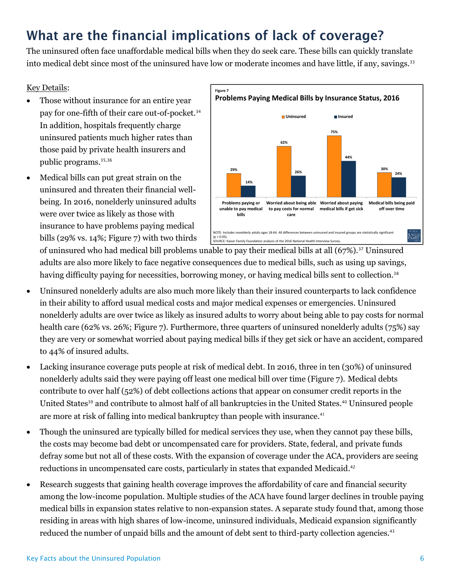# What are the financial implications of lack of coverage?

The uninsured often face unaffordable medical bills when they do seek care. These bills can quickly translate into medical debt since most of the uninsured have low or moderate incomes and have little, if any, savings.<sup>33</sup>

## Key Details:

- Those without insurance for an entire year pay for one-fifth of their care out-of-pocket.<sup>34</sup> In addition, hospitals frequently charge uninsured patients much higher rates than those paid by private health insurers and public programs.<sup>35,36</sup>
- Medical bills can put great strain on the uninsured and threaten their financial wellbeing. In 2016, nonelderly uninsured adults were over twice as likely as those with insurance to have problems paying medical bills (29% vs. 14%; Figure 7) with two thirds



of uninsured who had medical bill problems unable to pay their medical bills at all (67%).<sup>37</sup> Uninsured adults are also more likely to face negative consequences due to medical bills, such as using up savings, having difficulty paying for necessities, borrowing money, or having medical bills sent to collection.<sup>38</sup>

- Uninsured nonelderly adults are also much more likely than their insured counterparts to lack confidence in their ability to afford usual medical costs and major medical expenses or emergencies. Uninsured nonelderly adults are over twice as likely as insured adults to worry about being able to pay costs for normal health care (62% vs. 26%; Figure 7). Furthermore, three quarters of uninsured nonelderly adults (75%) say they are very or somewhat worried about paying medical bills if they get sick or have an accident, compared to 44% of insured adults.
- Lacking insurance coverage puts people at risk of medical debt. In 2016, three in ten (30%) of uninsured nonelderly adults said they were paying off least one medical bill over time (Figure 7). Medical debts contribute to over half (52%) of debt collections actions that appear on consumer credit reports in the United States<sup>39</sup> and contribute to almost half of all bankruptcies in the United States.<sup>40</sup> Uninsured people are more at risk of falling into medical bankruptcy than people with insurance.<sup>41</sup>
- Though the uninsured are typically billed for medical services they use, when they cannot pay these bills, the costs may become bad debt or uncompensated care for providers. State, federal, and private funds defray some but not all of these costs. With the expansion of coverage under the ACA, providers are seeing reductions in uncompensated care costs, particularly in states that expanded Medicaid. 42
- Research suggests that gaining health coverage improves the affordability of care and financial security among the low-income population. Multiple studies of the ACA have found larger declines in trouble paying medical bills in expansion states relative to non-expansion states. A separate study found that, among those residing in areas with high shares of low-income, uninsured individuals, Medicaid expansion significantly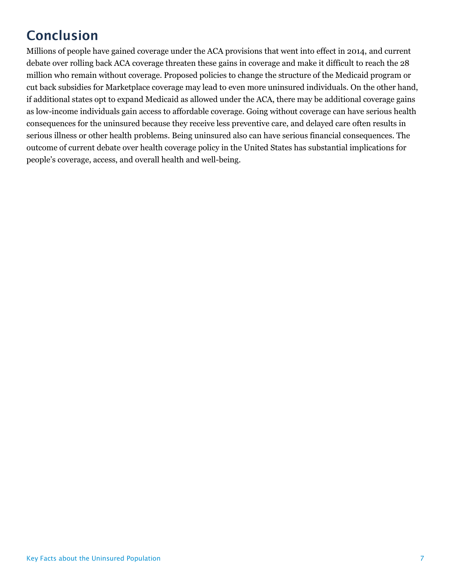# **Conclusion**

Millions of people have gained coverage under the ACA provisions that went into effect in 2014, and current debate over rolling back ACA coverage threaten these gains in coverage and make it difficult to reach the 28 million who remain without coverage. Proposed policies to change the structure of the Medicaid program or cut back subsidies for Marketplace coverage may lead to even more uninsured individuals. On the other hand, if additional states opt to expand Medicaid as allowed under the ACA, there may be additional coverage gains as low-income individuals gain access to affordable coverage. Going without coverage can have serious health consequences for the uninsured because they receive less preventive care, and delayed care often results in serious illness or other health problems. Being uninsured also can have serious financial consequences. The outcome of current debate over health coverage policy in the United States has substantial implications for people's coverage, access, and overall health and well-being.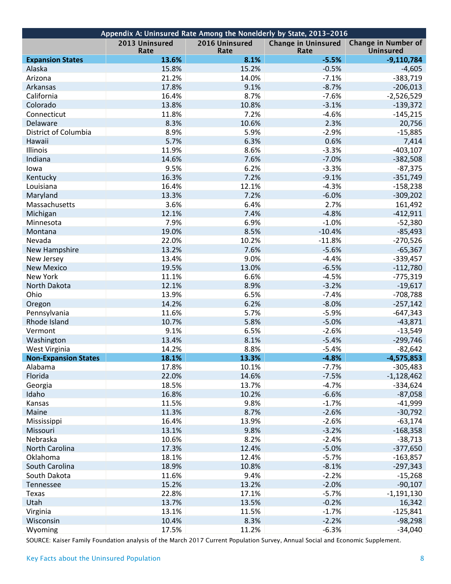| Appendix A: Uninsured Rate Among the Nonelderly by State, 2013-2016 |                        |                        |                                    |                                         |  |  |  |  |  |  |
|---------------------------------------------------------------------|------------------------|------------------------|------------------------------------|-----------------------------------------|--|--|--|--|--|--|
|                                                                     | 2013 Uninsured<br>Rate | 2016 Uninsured<br>Rate | <b>Change in Uninsured</b><br>Rate | Change in Number of<br><b>Uninsured</b> |  |  |  |  |  |  |
| <b>Expansion States</b>                                             | 13.6%                  | 8.1%                   | $-5.5%$                            | $-9,110,784$                            |  |  |  |  |  |  |
| Alaska                                                              | 15.8%                  | 15.2%                  | $-0.5%$                            | $-4,605$                                |  |  |  |  |  |  |
| Arizona                                                             | 21.2%                  | 14.0%                  | $-7.1%$                            | $-383,719$                              |  |  |  |  |  |  |
| Arkansas                                                            | 17.8%                  | 9.1%                   | $-8.7%$                            | $-206,013$                              |  |  |  |  |  |  |
| California                                                          | 16.4%                  | 8.7%                   | $-7.6%$                            | $-2,526,529$                            |  |  |  |  |  |  |
| Colorado                                                            | 13.8%                  | 10.8%                  | $-3.1%$                            | $-139,372$                              |  |  |  |  |  |  |
| Connecticut                                                         | 11.8%                  | 7.2%                   | $-4.6%$                            | $-145,215$                              |  |  |  |  |  |  |
| Delaware                                                            | 8.3%                   | 10.6%                  | 2.3%                               | 20,756                                  |  |  |  |  |  |  |
| District of Columbia                                                | 8.9%                   | 5.9%                   | $-2.9%$                            | $-15,885$                               |  |  |  |  |  |  |
| Hawaii                                                              | 5.7%                   | 6.3%                   | 0.6%                               | 7,414                                   |  |  |  |  |  |  |
| Illinois                                                            | 11.9%                  | 8.6%                   | $-3.3%$                            | $-403,107$                              |  |  |  |  |  |  |
| Indiana                                                             | 14.6%                  | 7.6%                   | $-7.0%$                            | $-382,508$                              |  |  |  |  |  |  |
| lowa                                                                | 9.5%                   | 6.2%                   | $-3.3%$                            | $-87,375$                               |  |  |  |  |  |  |
| Kentucky                                                            | 16.3%                  | 7.2%                   | $-9.1%$                            | $-351,749$                              |  |  |  |  |  |  |
| Louisiana                                                           | 16.4%                  | 12.1%                  | $-4.3%$                            | $-158,238$                              |  |  |  |  |  |  |
| Maryland                                                            | 13.3%                  | 7.2%                   | $-6.0%$                            | $-309,202$                              |  |  |  |  |  |  |
| Massachusetts                                                       | 3.6%                   | 6.4%                   | 2.7%                               | 161,492                                 |  |  |  |  |  |  |
| Michigan                                                            | 12.1%                  | 7.4%                   | $-4.8%$                            | $-412,911$                              |  |  |  |  |  |  |
| Minnesota                                                           | 7.9%                   | 6.9%                   | $-1.0%$                            | $-52,380$                               |  |  |  |  |  |  |
| Montana                                                             | 19.0%                  | 8.5%                   | $-10.4%$                           | $-85,493$                               |  |  |  |  |  |  |
| Nevada                                                              | 22.0%                  | 10.2%                  | $-11.8%$                           | $-270,526$                              |  |  |  |  |  |  |
| New Hampshire                                                       | 13.2%                  | 7.6%                   | $-5.6%$                            | $-65,367$                               |  |  |  |  |  |  |
| New Jersey                                                          | 13.4%                  | 9.0%                   | $-4.4%$                            | $-339,457$                              |  |  |  |  |  |  |
| <b>New Mexico</b>                                                   | 19.5%                  | 13.0%                  | $-6.5%$                            | $-112,780$                              |  |  |  |  |  |  |
| New York                                                            | 11.1%                  | 6.6%                   | $-4.5%$                            | $-775,319$                              |  |  |  |  |  |  |
| North Dakota                                                        | 12.1%                  | 8.9%                   | $-3.2%$                            | $-19,617$                               |  |  |  |  |  |  |
| Ohio                                                                | 13.9%                  | 6.5%                   | $-7.4%$                            | -708,788                                |  |  |  |  |  |  |
| Oregon                                                              | 14.2%                  | 6.2%                   | $-8.0%$                            | $-257,142$                              |  |  |  |  |  |  |
| Pennsylvania                                                        | 11.6%                  | 5.7%                   | $-5.9%$                            | $-647,343$                              |  |  |  |  |  |  |
| Rhode Island                                                        | 10.7%                  | 5.8%                   | $-5.0%$                            | $-43,871$                               |  |  |  |  |  |  |
| Vermont                                                             | 9.1%                   | 6.5%                   | $-2.6%$                            | $-13,549$                               |  |  |  |  |  |  |
| Washington                                                          | 13.4%                  | 8.1%                   | $-5.4%$                            | $-299,746$                              |  |  |  |  |  |  |
| West Virginia                                                       | 14.2%                  | 8.8%                   | $-5.4%$                            | $-82,642$                               |  |  |  |  |  |  |
| <b>Non-Expansion States</b>                                         | 18.1%                  | 13.3%                  | $-4.8%$                            | $-4,575,853$                            |  |  |  |  |  |  |
| Alabama                                                             | 17.8%                  | 10.1%                  | $-7.7%$                            | $-305,483$                              |  |  |  |  |  |  |
| Florida                                                             | 22.0%                  | 14.6%                  | $-7.5%$                            | $-1,128,462$                            |  |  |  |  |  |  |
| Georgia                                                             | 18.5%                  | 13.7%                  | $-4.7%$                            | $-334,624$                              |  |  |  |  |  |  |
| Idaho                                                               | 16.8%                  | 10.2%                  | $-6.6%$                            | $-87,058$                               |  |  |  |  |  |  |
| Kansas                                                              | 11.5%                  | 9.8%                   | $-1.7%$                            | $-41,999$                               |  |  |  |  |  |  |
| Maine                                                               | 11.3%                  | 8.7%                   | $-2.6%$                            | $-30,792$                               |  |  |  |  |  |  |
| Mississippi                                                         | 16.4%                  | 13.9%                  | $-2.6%$                            | $-63,174$                               |  |  |  |  |  |  |
| Missouri                                                            | 13.1%                  | 9.8%                   | $-3.2%$                            | $-168,358$                              |  |  |  |  |  |  |
| Nebraska                                                            | 10.6%                  | 8.2%                   | $-2.4%$                            | $-38,713$                               |  |  |  |  |  |  |
| <b>North Carolina</b>                                               | 17.3%                  | 12.4%                  | $-5.0%$                            | $-377,650$                              |  |  |  |  |  |  |
| Oklahoma                                                            | 18.1%                  | 12.4%                  | $-5.7%$                            | $-163,857$                              |  |  |  |  |  |  |
| South Carolina                                                      | 18.9%                  | 10.8%                  | $-8.1%$                            | $-297,343$                              |  |  |  |  |  |  |
| South Dakota                                                        | 11.6%                  | 9.4%                   | $-2.2%$                            | $-15,268$                               |  |  |  |  |  |  |
| Tennessee                                                           | 15.2%                  | 13.2%                  | $-2.0%$                            | $-90,107$                               |  |  |  |  |  |  |
| Texas                                                               | 22.8%                  | 17.1%                  | $-5.7%$                            | $-1,191,130$                            |  |  |  |  |  |  |
| Utah                                                                | 13.7%                  | 13.5%                  | $-0.2%$                            | 16,342                                  |  |  |  |  |  |  |
| Virginia                                                            | 13.1%                  | 11.5%                  | $-1.7%$                            | $-125,841$                              |  |  |  |  |  |  |
| Wisconsin                                                           | 10.4%                  | 8.3%                   | $-2.2%$                            | $-98,298$                               |  |  |  |  |  |  |
| Wyoming                                                             | 17.5%                  | 11.2%                  | $-6.3%$                            | $-34,040$                               |  |  |  |  |  |  |
|                                                                     |                        |                        |                                    |                                         |  |  |  |  |  |  |

SOURCE: Kaiser Family Foundation analysis of the March 2017 Current Population Survey, Annual Social and Economic Supplement.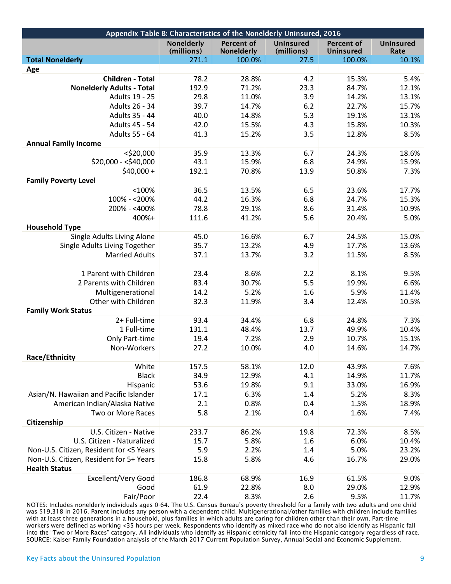| Appendix Table B: Characteristics of the Nonelderly Uninsured, 2016 |                          |                          |                                |                                |                   |  |  |  |
|---------------------------------------------------------------------|--------------------------|--------------------------|--------------------------------|--------------------------------|-------------------|--|--|--|
|                                                                     | Nonelderly<br>(millions) | Percent of<br>Nonelderly | <b>Uninsured</b><br>(millions) | <b>Percent of</b><br>Uninsured | Uninsured<br>Rate |  |  |  |
| <b>Total Nonelderly</b>                                             | 271.1                    | 100.0%                   | 27.5                           | 100.0%                         | 10.1%             |  |  |  |
| Age                                                                 |                          |                          |                                |                                |                   |  |  |  |
| <b>Children - Total</b>                                             | 78.2                     | 28.8%                    | 4.2                            | 15.3%                          | 5.4%              |  |  |  |
| <b>Nonelderly Adults - Total</b>                                    | 192.9                    | 71.2%                    | 23.3                           | 84.7%                          | 12.1%             |  |  |  |
| Adults 19 - 25                                                      | 29.8                     | 11.0%                    | 3.9                            | 14.2%                          | 13.1%             |  |  |  |
| Adults 26 - 34                                                      | 39.7                     | 14.7%                    | 6.2                            | 22.7%                          | 15.7%             |  |  |  |
| Adults 35 - 44                                                      | 40.0                     | 14.8%                    | 5.3                            | 19.1%                          | 13.1%             |  |  |  |
| Adults 45 - 54                                                      | 42.0                     | 15.5%                    | 4.3                            | 15.8%                          | 10.3%             |  |  |  |
| Adults 55 - 64                                                      | 41.3                     | 15.2%                    | 3.5                            | 12.8%                          | 8.5%              |  |  |  |
| <b>Annual Family Income</b>                                         |                          |                          |                                |                                |                   |  |  |  |
| $<$ \$20,000                                                        | 35.9                     | 13.3%                    | 6.7                            | 24.3%                          | 18.6%             |  |  |  |
| $$20,000 - $40,000$                                                 | 43.1                     | 15.9%                    | 6.8                            | 24.9%                          | 15.9%             |  |  |  |
| $$40,000 +$                                                         | 192.1                    | 70.8%                    | 13.9                           | 50.8%                          | 7.3%              |  |  |  |
| <b>Family Poverty Level</b>                                         |                          |                          |                                |                                |                   |  |  |  |
| $<$ 100%                                                            | 36.5                     | 13.5%                    | 6.5                            | 23.6%                          | 17.7%             |  |  |  |
| 100% - < 200%                                                       | 44.2                     | 16.3%                    | 6.8                            | 24.7%                          | 15.3%             |  |  |  |
| 200% - <400%                                                        | 78.8                     | 29.1%                    | 8.6                            | 31.4%                          | 10.9%             |  |  |  |
| 400%+                                                               | 111.6                    | 41.2%                    | 5.6                            | 20.4%                          | 5.0%              |  |  |  |
| <b>Household Type</b>                                               |                          |                          |                                |                                |                   |  |  |  |
| Single Adults Living Alone                                          | 45.0                     | 16.6%                    | 6.7                            | 24.5%                          | 15.0%             |  |  |  |
| Single Adults Living Together                                       | 35.7                     | 13.2%                    | 4.9                            | 17.7%                          | 13.6%             |  |  |  |
| <b>Married Adults</b>                                               | 37.1                     | 13.7%                    | 3.2                            | 11.5%                          | 8.5%              |  |  |  |
|                                                                     |                          |                          |                                |                                |                   |  |  |  |
| 1 Parent with Children                                              | 23.4                     | 8.6%                     | 2.2                            |                                | 9.5%              |  |  |  |
|                                                                     |                          |                          | 5.5                            | 8.1%<br>19.9%                  | 6.6%              |  |  |  |
| 2 Parents with Children                                             | 83.4                     | 30.7%                    |                                |                                |                   |  |  |  |
| Multigenerational                                                   | 14.2                     | 5.2%                     | 1.6                            | 5.9%                           | 11.4%             |  |  |  |
| Other with Children                                                 | 32.3                     | 11.9%                    | 3.4                            | 12.4%                          | 10.5%             |  |  |  |
| <b>Family Work Status</b>                                           |                          |                          |                                |                                |                   |  |  |  |
| 2+ Full-time                                                        | 93.4                     | 34.4%                    | 6.8                            | 24.8%                          | 7.3%              |  |  |  |
| 1 Full-time                                                         | 131.1                    | 48.4%                    | 13.7                           | 49.9%                          | 10.4%             |  |  |  |
| Only Part-time                                                      | 19.4                     | 7.2%                     | 2.9                            | 10.7%                          | 15.1%             |  |  |  |
| Non-Workers                                                         | 27.2                     | 10.0%                    | 4.0                            | 14.6%                          | 14.7%             |  |  |  |
| Race/Ethnicity                                                      |                          |                          |                                |                                |                   |  |  |  |
| White                                                               | 157.5                    | 58.1%                    | 12.0                           | 43.9%                          | 7.6%              |  |  |  |
| <b>Black</b>                                                        | 34.9                     | 12.9%                    | 4.1                            | 14.9%                          | 11.7%             |  |  |  |
| Hispanic                                                            | 53.6                     | 19.8%                    | 9.1                            | 33.0%                          | 16.9%             |  |  |  |
| Asian/N. Hawaiian and Pacific Islander                              | 17.1                     | 6.3%                     | 1.4                            | 5.2%                           | 8.3%              |  |  |  |
| American Indian/Alaska Native                                       | 2.1                      | 0.8%                     | 0.4                            | 1.5%                           | 18.9%             |  |  |  |
| Two or More Races                                                   | 5.8                      | 2.1%                     | 0.4                            | 1.6%                           | 7.4%              |  |  |  |
| Citizenship                                                         |                          |                          |                                |                                |                   |  |  |  |
| U.S. Citizen - Native                                               | 233.7                    | 86.2%                    | 19.8                           | 72.3%                          | 8.5%              |  |  |  |
| U.S. Citizen - Naturalized                                          | 15.7                     | 5.8%                     | 1.6                            | 6.0%                           | 10.4%             |  |  |  |
| Non-U.S. Citizen, Resident for <5 Years                             | 5.9                      | 2.2%                     | 1.4                            | 5.0%                           | 23.2%             |  |  |  |
| Non-U.S. Citizen, Resident for 5+ Years                             | 15.8                     | 5.8%                     | 4.6                            | 16.7%                          | 29.0%             |  |  |  |
| <b>Health Status</b>                                                |                          |                          |                                |                                |                   |  |  |  |
| Excellent/Very Good                                                 | 186.8                    | 68.9%                    | 16.9                           | 61.5%                          | 9.0%              |  |  |  |
| Good                                                                | 61.9                     | 22.8%                    | 8.0                            | 29.0%                          | 12.9%             |  |  |  |
| Fair/Poor                                                           | 22.4                     | 8.3%                     | 2.6                            | 9.5%                           | 11.7%             |  |  |  |

NOTES: Includes nonelderly individuals ages 0-64. The U.S. Census Bureau's poverty threshold for a family with two adults and one child was \$19,318 in 2016. Parent includes any person with a dependent child. Multigenerational/other families with children include families with at least three generations in a household, plus families in which adults are caring for children other than their own. Part-time workers were defined as working <35 hours per week. Respondents who identify as mixed race who do not also identify as Hispanic fall into the "Two or More Races" category. All individuals who identify as Hispanic ethnicity fall into the Hispanic category regardless of race. SOURCE: Kaiser Family Foundation analysis of the March 2017 Current Population Survey, Annual Social and Economic Supplement.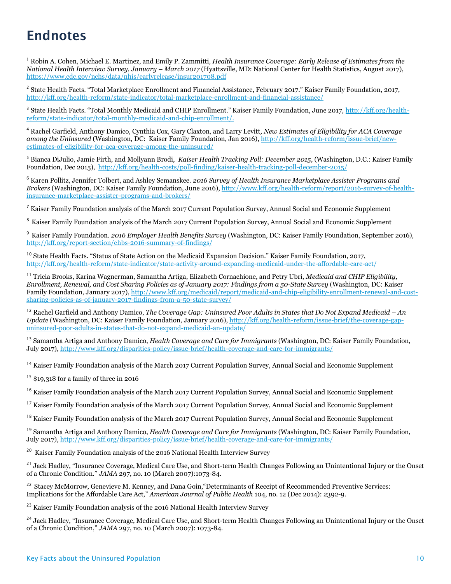## **Endnotes**

 $\overline{a}$ 

<sup>1</sup> Robin A. Cohen, Michael E. Martinez, and Emily P. Zammitti, *Health Insurance Coverage: Early Release of Estimates from the National Health Interview Survey, January – March 2017* (Hyattsville, MD: National Center for Health Statistics, August 2017), <https://www.cdc.gov/nchs/data/nhis/earlyrelease/insur201708.pdf>

<sup>2</sup> State Health Facts. "Total Marketplace Enrollment and Financial Assistance, February 2017." Kaiser Family Foundation, 2017, <http://kff.org/health-reform/state-indicator/total-marketplace-enrollment-and-financial-assistance/>

<sup>3</sup> State Health Facts. "Total Monthly Medicaid and CHIP Enrollment." Kaiser Family Foundation, June 2017, [http://kff.org/health](http://kff.org/health-reform/state-indicator/total-monthly-medicaid-and-chip-enrollment/)[reform/state-indicator/total-monthly-medicaid-and-chip-enrollment/.](http://kff.org/health-reform/state-indicator/total-monthly-medicaid-and-chip-enrollment/)

<sup>4</sup> Rachel Garfield, Anthony Damico, Cynthia Cox, Gary Claxton, and Larry Levitt*, New Estimates of Eligibility for ACA Coverage among the Uninsured* (Washington, DC: Kaiser Family Foundation, Jan 2016)[, http://kff.org/health-reform/issue-brief/new](http://kff.org/health-reform/issue-brief/new-estimates-of-eligibility-for-aca-coverage-among-the-uninsured/)[estimates-of-eligibility-for-aca-coverage-among-the-uninsured/](http://kff.org/health-reform/issue-brief/new-estimates-of-eligibility-for-aca-coverage-among-the-uninsured/)

<sup>5</sup> Bianca DiJulio, Jamie Firth, and Mollyann Brodi, *Kaiser Health Tracking Poll: December 2015*, (Washington, D.C.: Kaiser Family Foundation, Dec 2015),<http://kff.org/health-costs/poll-finding/kaiser-health-tracking-poll-december-2015/>

<sup>6</sup> Karen Pollitz, Jennifer Tolbert, and Ashley Semanskee. *2016 Survey of Health Insurance Marketplace Assister Programs and Brokers* (Washington, DC: Kaiser Family Foundation, June 2016), [http://www.kff.org/health-reform/report/2016-survey-of-health](http://www.kff.org/health-reform/report/2016-survey-of-health-insurance-marketplace-assister-programs-and-brokers/)[insurance-marketplace-assister-programs-and-brokers/](http://www.kff.org/health-reform/report/2016-survey-of-health-insurance-marketplace-assister-programs-and-brokers/)

<sup>7</sup> Kaiser Family Foundation analysis of the March 2017 Current Population Survey, Annual Social and Economic Supplement

<sup>8</sup> Kaiser Family Foundation analysis of the March 2017 Current Population Survey, Annual Social and Economic Supplement

<sup>9</sup> Kaiser Family Foundation. *2016 Employer Health Benefits Survey* (Washington, DC: Kaiser Family Foundation, September 2016), <http://kff.org/report-section/ehbs-2016-summary-of-findings/>

<sup>10</sup> State Health Facts. "Status of State Action on the Medicaid Expansion Decision." Kaiser Family Foundation*,* 2017, <http://kff.org/health-reform/state-indicator/state-activity-around-expanding-medicaid-under-the-affordable-care-act/>

<sup>11</sup> Tricia Brooks, Karina Wagnerman, Samantha Artiga, Elizabeth Cornachione, and Petry Ubri, *Medicaid and CHIP Eligibility, Enrollment, Renewal, and Cost Sharing Policies as of January 2017: Findings from a 50-State Survey* (Washington, DC: Kaiser Family Foundation, January 2017), [http://www.kff.org/medicaid/report/medicaid-and-chip-eligibility-enrollment-renewal-and-cost](http://www.kff.org/medicaid/report/medicaid-and-chip-eligibility-enrollment-renewal-and-cost-sharing-policies-as-of-january-2017-findings-from-a-50-state-survey/)[sharing-policies-as-of-january-2017-findings-from-a-50-state-survey/](http://www.kff.org/medicaid/report/medicaid-and-chip-eligibility-enrollment-renewal-and-cost-sharing-policies-as-of-january-2017-findings-from-a-50-state-survey/) 

<sup>12</sup> Rachel Garfield and Anthony Damico, *The Coverage Gap: Uninsured Poor Adults in States that Do Not Expand Medicaid - An Update* (Washington, DC: Kaiser Family Foundation, January 2016)[, http://kff.org/health-reform/issue-brief/the-coverage-gap](http://kff.org/health-reform/issue-brief/the-coverage-gap-uninsured-poor-adults-in-states-that-do-not-expand-medicaid-an-update/)[uninsured-poor-adults-in-states-that-do-not-expand-medicaid-an-update/](http://kff.org/health-reform/issue-brief/the-coverage-gap-uninsured-poor-adults-in-states-that-do-not-expand-medicaid-an-update/)

<sup>13</sup> Samantha Artiga and Anthony Damico, *Health Coverage and Care for Immigrants* (Washington, DC: Kaiser Family Foundation, July 2017),<http://www.kff.org/disparities-policy/issue-brief/health-coverage-and-care-for-immigrants/>

<sup>14</sup> Kaiser Family Foundation analysis of the March 2017 Current Population Survey, Annual Social and Economic Supplement

 $15$  \$19,318 for a family of three in 2016

<sup>16</sup> Kaiser Family Foundation analysis of the March 2017 Current Population Survey, Annual Social and Economic Supplement

<sup>17</sup> Kaiser Family Foundation analysis of the March 2017 Current Population Survey, Annual Social and Economic Supplement

<sup>18</sup> Kaiser Family Foundation analysis of the March 2017 Current Population Survey, Annual Social and Economic Supplement

<sup>19</sup> Samantha Artiga and Anthony Damico, *Health Coverage and Care for Immigrants* (Washington, DC: Kaiser Family Foundation, July 2017),<http://www.kff.org/disparities-policy/issue-brief/health-coverage-and-care-for-immigrants/>

<sup>20</sup> Kaiser Family Foundation analysis of the 2016 National Health Interview Survey

<sup>21</sup> Jack Hadley, "Insurance Coverage, Medical Care Use, and Short-term Health Changes Following an Unintentional Injury or the Onset of a Chronic Condition." *JAMA* 297, no. 10 (March 2007):1073-84.

<sup>22</sup> Stacey McMorrow, Genevieve M. Kenney, and Dana Goin, "Determinants of Receipt of Recommended Preventive Services: Implications for the Affordable Care Act," *American Journal of Public Health* 104, no. 12 (Dec 2014): 2392-9.

<sup>23</sup> Kaiser Family Foundation analysis of the 2016 National Health Interview Survey

<sup>24</sup> Jack Hadley, "Insurance Coverage, Medical Care Use, and Short-term Health Changes Following an Unintentional Injury or the Onset of a Chronic Condition," *JAMA* 297, no. 10 (March 2007): 1073-84.